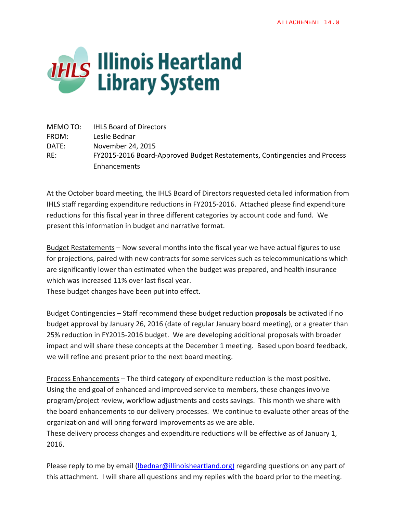

MEMO TO: IHLS Board of Directors FROM: Leslie Bednar DATE: November 24, 2015 RE: FY2015‐2016 Board‐Approved Budget Restatements, Contingencies and Process Enhancements

At the October board meeting, the IHLS Board of Directors requested detailed information from IHLS staff regarding expenditure reductions in FY2015‐2016. Attached please find expenditure reductions for this fiscal year in three different categories by account code and fund. We present this information in budget and narrative format.

Budget Restatements – Now several months into the fiscal year we have actual figures to use for projections, paired with new contracts for some services such as telecommunications which are significantly lower than estimated when the budget was prepared, and health insurance which was increased 11% over last fiscal year.

These budget changes have been put into effect.

Budget Contingencies – Staff recommend these budget reduction **proposals** be activated if no budget approval by January 26, 2016 (date of regular January board meeting), or a greater than 25% reduction in FY2015‐2016 budget. We are developing additional proposals with broader impact and will share these concepts at the December 1 meeting. Based upon board feedback, we will refine and present prior to the next board meeting.

Process Enhancements – The third category of expenditure reduction is the most positive. Using the end goal of enhanced and improved service to members, these changes involve program/project review, workflow adjustments and costs savings. This month we share with the board enhancements to our delivery processes. We continue to evaluate other areas of the organization and will bring forward improvements as we are able.

These delivery process changes and expenditure reductions will be effective as of January 1, 2016.

Please reply to me by email (Ibednar@illinoisheartland.org) regarding questions on any part of this attachment. I will share all questions and my replies with the board prior to the meeting.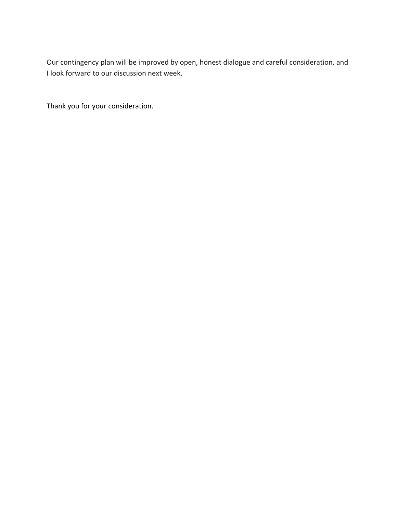Our contingency plan will be improved by open, honest dialogue and careful consideration, and I look forward to our discussion next week.

Thank you for your consideration.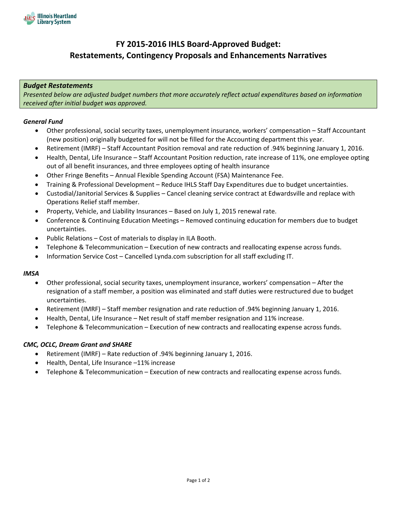

# **FY 2015‐2016 IHLS Board‐Approved Budget: Restatements, Contingency Proposals and Enhancements Narratives**

#### *Budget Restatements*

*Presented below are adjusted budget numbers that more accurately reflect actual expenditures based on information received after initial budget was approved.*

#### *General Fund*

- Other professional, social security taxes, unemployment insurance, workers' compensation Staff Accountant (new position) originally budgeted for will not be filled for the Accounting department this year.
- Retirement (IMRF) Staff Accountant Position removal and rate reduction of .94% beginning January 1, 2016.
- Health, Dental, Life Insurance Staff Accountant Position reduction, rate increase of 11%, one employee opting out of all benefit insurances, and three employees opting of health insurance
- Other Fringe Benefits Annual Flexible Spending Account (FSA) Maintenance Fee.
- Training & Professional Development Reduce IHLS Staff Day Expenditures due to budget uncertainties.
- Custodial/Janitorial Services & Supplies Cancel cleaning service contract at Edwardsville and replace with Operations Relief staff member.
- Property, Vehicle, and Liability Insurances Based on July 1, 2015 renewal rate.
- Conference & Continuing Education Meetings Removed continuing education for members due to budget uncertainties.
- Public Relations Cost of materials to display in ILA Booth.
- Telephone & Telecommunication Execution of new contracts and reallocating expense across funds.
- Information Service Cost Cancelled Lynda.com subscription for all staff excluding IT.

#### *IMSA*

- Other professional, social security taxes, unemployment insurance, workers' compensation After the resignation of a staff member, a position was eliminated and staff duties were restructured due to budget uncertainties.
- Retirement (IMRF) Staff member resignation and rate reduction of .94% beginning January 1, 2016.
- Health, Dental, Life Insurance Net result of staff member resignation and 11% increase.
- Telephone & Telecommunication Execution of new contracts and reallocating expense across funds.

#### *CMC, OCLC, Dream Grant and SHARE*

- Retirement (IMRF) Rate reduction of .94% beginning January 1, 2016.
- Health, Dental, Life Insurance –11% increase
- Telephone & Telecommunication Execution of new contracts and reallocating expense across funds.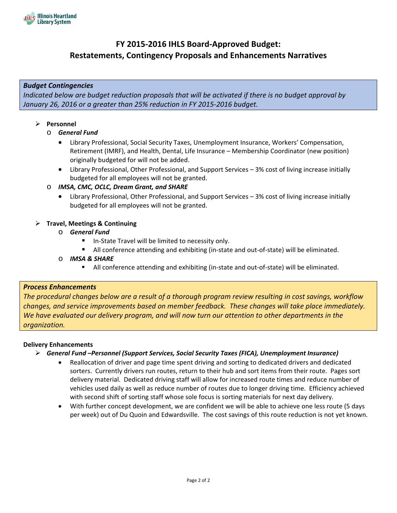

# **FY 2015‐2016 IHLS Board‐Approved Budget: Restatements, Contingency Proposals and Enhancements Narratives**

### *Budget Contingencies*

*Indicated below are budget reduction proposals that will be activated if there is no budget approval by January 26, 2016 or a greater than 25% reduction in FY 2015‐2016 budget.*

#### **Personnel**

- o *General Fund*
	- Library Professional, Social Security Taxes, Unemployment Insurance, Workers' Compensation, Retirement (IMRF), and Health, Dental, Life Insurance – Membership Coordinator (new position) originally budgeted for will not be added.
	- Library Professional, Other Professional, and Support Services 3% cost of living increase initially budgeted for all employees will not be granted.

#### o *IMSA, CMC, OCLC, Dream Grant, and SHARE*

 Library Professional, Other Professional, and Support Services – 3% cost of living increase initially budgeted for all employees will not be granted.

#### **Travel, Meetings & Continuing**

- o *General Fund*
	- In‐State Travel will be limited to necessity only.
	- All conference attending and exhibiting (in‐state and out‐of‐state) will be eliminated.
- o *IMSA & SHARE*
	- All conference attending and exhibiting (in-state and out-of-state) will be eliminated.

### *Process Enhancements*

The procedural changes below are a result of a thorough program review resulting in cost savings, workflow *changes, and service improvements based on member feedback. These changes will take place immediately. We have evaluated our delivery program, and will now turn our attention to other departments in the organization.*

#### **Delivery Enhancements**

- *General Fund –Personnel (Support Services, Social Security Taxes (FICA), Unemployment Insurance)*
	- Reallocation of driver and page time spent driving and sorting to dedicated drivers and dedicated sorters. Currently drivers run routes, return to their hub and sort items from their route. Pages sort delivery material. Dedicated driving staff will allow for increased route times and reduce number of vehicles used daily as well as reduce number of routes due to longer driving time. Efficiency achieved with second shift of sorting staff whose sole focus is sorting materials for next day delivery.
	- With further concept development, we are confident we will be able to achieve one less route (5 days per week) out of Du Quoin and Edwardsville. The cost savings of this route reduction is not yet known.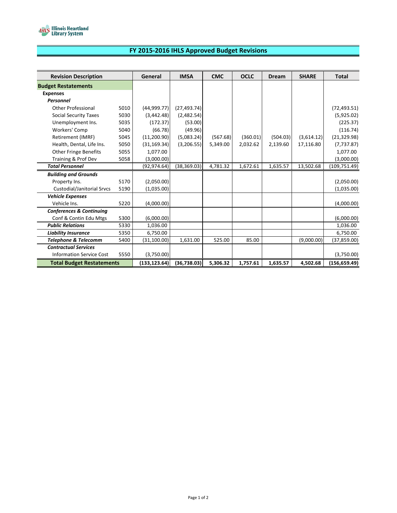

## **FY 2015‐2016 IHLS Approved Budget Revisions**

| <b>Revision Description</b>         |      | General       | <b>IMSA</b>  | <b>CMC</b> | <b>OCLC</b> | <b>Dream</b> | <b>SHARE</b> | <b>Total</b>  |
|-------------------------------------|------|---------------|--------------|------------|-------------|--------------|--------------|---------------|
| <b>Budget Restatements</b>          |      |               |              |            |             |              |              |               |
| <b>Expenses</b>                     |      |               |              |            |             |              |              |               |
| <b>Personnel</b>                    |      |               |              |            |             |              |              |               |
| <b>Other Professional</b>           | 5010 | (44,999.77)   | (27, 493.74) |            |             |              |              | (72, 493.51)  |
| <b>Social Security Taxes</b>        | 5030 | (3,442.48)    | (2,482.54)   |            |             |              |              | (5,925.02)    |
| Unemployment Ins.                   | 5035 | (172.37)      | (53.00)      |            |             |              |              | (225.37)      |
| Workers' Comp                       | 5040 | (66.78)       | (49.96)      |            |             |              |              | (116.74)      |
| Retirement (IMRF)                   | 5045 | (11, 200.90)  | (5,083.24)   | (567.68)   | (360.01)    | (504.03)     | (3,614.12)   | (21, 329.98)  |
| Health, Dental, Life Ins.           | 5050 | (31, 169.34)  | (3,206.55)   | 5,349.00   | 2,032.62    | 2,139.60     | 17,116.80    | (7, 737.87)   |
| <b>Other Fringe Benefits</b>        | 5055 | 1.077.00      |              |            |             |              |              | 1,077.00      |
| Training & Prof Dev                 | 5058 | (3,000.00)    |              |            |             |              |              | (3,000.00)    |
| <b>Total Personnel</b>              |      | (92, 974.64)  | (38, 369.03) | 4,781.32   | 1,672.61    | 1,635.57     | 13,502.68    | (109, 751.49) |
| <b>Building and Grounds</b>         |      |               |              |            |             |              |              |               |
| Property Ins.                       | 5170 | (2,050.00)    |              |            |             |              |              | (2,050.00)    |
| Custodial/Janitorial Srvcs          | 5190 | (1,035.00)    |              |            |             |              |              | (1,035.00)    |
| <b>Vehicle Expenses</b>             |      |               |              |            |             |              |              |               |
| Vehicle Ins.                        | 5220 | (4,000.00)    |              |            |             |              |              | (4,000.00)    |
| <b>Conferences &amp; Continuing</b> |      |               |              |            |             |              |              |               |
| Conf & Contin Edu Mtgs              | 5300 | (6,000.00)    |              |            |             |              |              | (6,000.00)    |
| <b>Public Relations</b>             | 5330 | 1,036.00      |              |            |             |              |              | 1,036.00      |
| <b>Liability Insurance</b>          | 5350 | 6,750.00      |              |            |             |              |              | 6,750.00      |
| Telephone & Telecomm                | 5400 | (31, 100.00)  | 1,631.00     | 525.00     | 85.00       |              | (9,000.00)   | (37, 859.00)  |
| <b>Contractual Services</b>         |      |               |              |            |             |              |              |               |
| <b>Information Service Cost</b>     | 5550 | (3,750.00)    |              |            |             |              |              | (3,750.00)    |
| <b>Total Budget Restatements</b>    |      | (133, 123.64) | (36,738.03)  | 5,306.32   | 1,757.61    | 1,635.57     | 4,502.68     | (156, 659.49) |